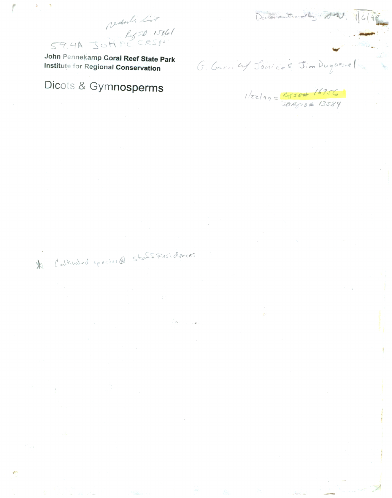59.4A JOHPECK John Pennekamp Coral Reef State Park Institute for Regional Conservation

Calibrated species@ Staffesidences

 $\mathbb{X}$ 

redute list

# Dicots & Gymnosperms

G. Gana ay Janice E. Jim Duguesnel

 $1/zz|qq = \frac{Rz_0t + 16956}{26Rz_0t + 13589}$ 

Declarantendlez: D.W. 16(9)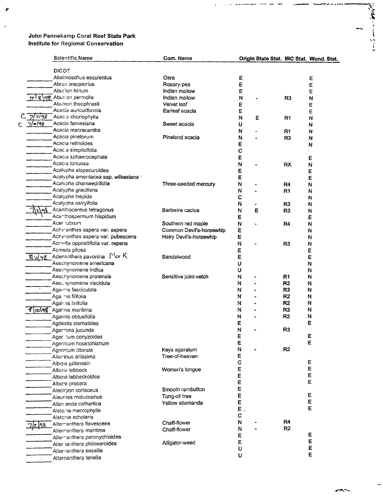$\pmb{\rho}$ 

 $\ddot{\phantom{0}}$ 

|          | <b>Scientific Name</b>                                                       | Com. Name                |              | Origin State Stat. IRC Stat. Wund. Stat. |                |   |
|----------|------------------------------------------------------------------------------|--------------------------|--------------|------------------------------------------|----------------|---|
|          |                                                                              |                          |              |                                          |                |   |
|          | <b>DICOT</b>                                                                 |                          |              |                                          |                |   |
|          | Abelmoschus esculentus                                                       | Okra                     | E            |                                          |                | Ε |
|          | Abrus precatorius                                                            | Rosary-pea               | E            |                                          |                | E |
|          | Abut lon hirtum                                                              | Indian mallow            | Е            |                                          |                | E |
|          | lel 8 98 Abuti on permolle                                                   | Indian mallow            | N            |                                          | R <sub>3</sub> | N |
|          | Abutiion theophrasti                                                         | Velvet leaf              | ε            |                                          |                | E |
|          | Acacia auriculiformis                                                        | Earleaf acacia           | E            |                                          |                | E |
| । टाव्रु | Acac a choriophylla                                                          |                          | N            | Ε                                        | R1             | N |
| 7/2/98   | Acacia farnesiana                                                            | Sweet acacia             | U            |                                          |                | N |
|          | Acacia macracantha                                                           |                          | N            |                                          | R <sub>1</sub> | N |
|          | Acacıa pinetorum                                                             | Pineland acacia          | N            |                                          | R <sub>3</sub> | N |
|          | Acacia retinoides                                                            |                          | E            |                                          |                | N |
|          | Acac a simplicifolia                                                         |                          | С            |                                          |                |   |
|          | Acacia sphaerocephala                                                        |                          | Ε            |                                          |                | Ε |
|          | Acacia tortuosa                                                              |                          | N            |                                          | RX             | N |
|          | Acalypha alopecuroidea                                                       |                          | Ε            |                                          |                | E |
|          | Acalypha amentacea ssp. wilkesiana '                                         |                          | E            |                                          |                | E |
|          | Acalypha chamaedrifolia                                                      | Three-seeded mercury     | N            |                                          | R <sub>4</sub> | N |
|          | Acalypha graciliens                                                          |                          | N            |                                          | R <sub>1</sub> | N |
|          | Acalypha hispida                                                             |                          | c            |                                          |                | N |
|          | Acalypha ostryifolia                                                         |                          | N            |                                          | R <sub>3</sub> | N |
|          | Acanthocereus tetragonus                                                     | Barbwire cactus          | N            | Ε                                        | R <sub>3</sub> | N |
|          | Acanthospermum hispidum                                                      |                          | Е            |                                          |                | Ε |
|          | Acer ubrum                                                                   | Southern red maple       | $\mathsf{N}$ |                                          | R4             | N |
|          | Achvranthes aspera var. aspera                                               | Common Devil's-horsewhip | Ε            |                                          |                | N |
|          | Achyranthes aspera var. pubescens                                            | Hairy Devil's-horsewhip  | E            |                                          |                | N |
|          | Acmella oppositifolia var. repens                                            |                          | N            |                                          | R <sub>3</sub> | N |
|          | Acmeila pilosa                                                               |                          | Ε            |                                          |                | E |
|          | $\mathcal{B}_{10}$ of $\mathcal{B}_{20}$ Adenanthera pavonina $\Gamma$ for K | Sandalwood               | E            |                                          |                | E |
|          | Aeschynomene americana                                                       |                          | υ            |                                          |                | N |
|          | Aeschynomene indica                                                          |                          | U            |                                          |                | N |
|          | Aescrynomene pratensis                                                       | Sensitive joint-vetch    | N            |                                          | R <sub>1</sub> | N |
|          | Aesu vynomene viscidula                                                      |                          | N            |                                          | R <sub>2</sub> | N |
|          | Againis fasciculata                                                          |                          | N            |                                          | R <sub>3</sub> | N |
|          | Aga nis filifolia                                                            |                          | N            |                                          | R2             | N |
|          | Agali nis linifolia                                                          |                          | N            |                                          | R <sub>2</sub> | N |
|          | <b>8 (10 48</b> Agal nis maritima                                            |                          | N            |                                          | R <sub>3</sub> | N |
|          | Agalinis obtusifolia                                                         |                          | N            |                                          | R <sub>2</sub> | N |
|          | Agdestis clematidea                                                          |                          | Ε            |                                          |                | E |
|          | Ageratina jucunda                                                            |                          | N            |                                          | R <sub>3</sub> |   |
|          | Ager tum conyzoides                                                          |                          | E            |                                          |                |   |
|          | Ageratum houstonianum                                                        |                          | Е            |                                          |                | Ε |
|          | Ageratum littorale                                                           | Keys ageratum            | N            |                                          | R <sub>2</sub> |   |
|          | Ailanthus altissima                                                          | Tree-of-heaven           | Ε            |                                          |                |   |
|          | Albizia julibrissin                                                          |                          | С            |                                          |                | Ε |
|          | Albizia lebbeck                                                              | Woman's tongue           | Ε            |                                          |                | E |
|          | Albizia lebbeckoides                                                         |                          | E            |                                          |                | E |
|          | Albız'a procera                                                              |                          | Ε            |                                          |                | E |
|          | Alectryon coriaceus                                                          | Smooth rambutton         | E            |                                          |                |   |
|          | Aleurites moluccanus                                                         | Tung-oil tree            | Ε            |                                          |                | Ε |
|          | Allan anda cathartica                                                        | Yellow allamanda         | E            |                                          |                | E |
|          | Alsto. ia macrophylla                                                        |                          | $E$ ,        |                                          |                | E |
|          | Alstonia scholaris                                                           |                          | C            |                                          |                |   |
| 198      | Alternanthera flavescens                                                     | Chaff-flower             | N            |                                          | R4             |   |
|          | Alternanthera maritima                                                       | Chaff-flower             | N            |                                          | R2             |   |
|          | Alternanthera paronychioides                                                 |                          | E            |                                          |                | E |
|          | Alter lanthera philoxeroides                                                 | Alligator-weed           | Ε            |                                          |                | E |
|          | Alternanthera sessilis                                                       |                          | U            |                                          |                | Ε |
|          | Alternanthera tenella                                                        |                          | U            |                                          |                | Е |
|          |                                                                              |                          |              |                                          |                |   |

**Contract Service Contract Contract** 

「大学のことに

 $\ddot{\phantom{1}}$ 

 $\mathbb{R}$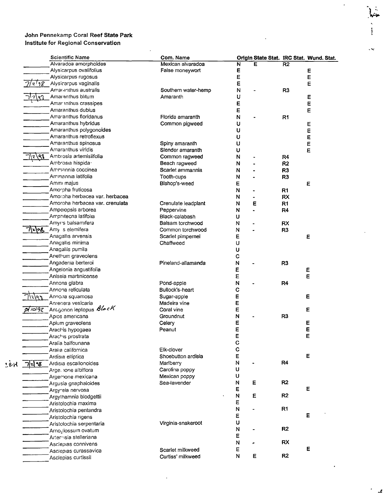|       |            | <b>Scientific Name</b>                    | Com. Name           |              |   |                | Origin State Stat. IRC Stat. Wund. Stat. |
|-------|------------|-------------------------------------------|---------------------|--------------|---|----------------|------------------------------------------|
|       |            | Alvaradoa amorphoides                     | Mexican alvaradoa   | N            | E | R <sub>2</sub> |                                          |
|       |            | Alysicarpus ovalifolius                   | False moneywort     | Е            |   |                | Е                                        |
|       |            | Alysicarpus rugosus                       |                     | E            |   |                | E                                        |
|       | 2!38       | Alysicarpus vaginalis                     |                     | Ε            |   |                | Е                                        |
|       |            | Amaranthus australis                      | Southern water-hemp | N            |   | R <sub>3</sub> |                                          |
|       | 7197       | Amaranthus blitum                         | Amaranth            | U            |   |                | E                                        |
|       |            | Amar anthus crassipes                     |                     | E            |   |                | E                                        |
|       |            | Amaranthus dubius                         |                     | E            |   |                | E                                        |
|       |            | Amaranthus floridanus                     | Florida amaranth    | N            |   | R <sub>1</sub> |                                          |
|       |            | Amaranthus hybridus                       | Common pigweed      | U            |   |                | Е                                        |
|       |            | Amaranthus polygonoides                   |                     | U            |   |                | E                                        |
|       |            | Amaranthus retroflexus                    |                     | U            |   |                | Ε                                        |
|       |            | Amaranthus spinosus                       | Spiny amaranth      | U            |   |                | E                                        |
|       |            | Amaranthus viridis                        | Slender amaranth    | υ            |   |                | E                                        |
|       | \2\99      | Ambrosia artemisiifolia                   | Common ragweed      |              |   |                |                                          |
|       |            | Ambrosia hispida-                         |                     | N            |   | R4             |                                          |
|       |            |                                           | Beach ragweed       | N            |   | R <sub>2</sub> |                                          |
|       |            | Ammannia coccinea                         | Scarlet ammannia    | N            |   | R3             |                                          |
|       |            | Ammannia latifolia                        | Tooth-cups          | N            |   | R <sub>3</sub> |                                          |
|       |            | Amm majus                                 | Bishop's-weed       | E            |   |                | E                                        |
|       |            | Amorpha fruticosa                         |                     | N            |   | R <sub>1</sub> |                                          |
|       |            | Amorpha herbacea var. herbacea            |                     | N            |   | <b>RX</b>      |                                          |
|       |            | Amoroha herbacea var. crenulata           | Crenulate leadplant | N            | E | R <sub>1</sub> |                                          |
|       |            | Ampeiopsis arborea                        | Peppervine          | N            |   | R4             |                                          |
|       |            | Amphitecna latifolia                      | Black-calabash      | U            |   |                |                                          |
|       |            | Amyr's balsamifera                        | Balsam torchwood    | N            |   | RX             |                                          |
|       | <b>z\%</b> | Amy s elemifera                           | Common torchwood    | N            |   | R <sub>3</sub> |                                          |
|       |            | Anagallis arvensis                        | Scarlet pimpernel   | Е            |   |                | Ε                                        |
|       |            | Anagallis minima                          | Chaffweed           | U            |   |                |                                          |
|       |            | Anagallis pumila                          |                     | U            |   |                |                                          |
|       |            | Anethum graveolens                        |                     | $\mathbf C$  |   |                |                                          |
|       |            | Angadenia berteroi                        | Pineland-allamanda  | N            |   | R <sub>3</sub> |                                          |
|       |            | Angelonia angustifolia                    |                     | E            |   |                | E                                        |
|       |            | Aniseia martinicense                      |                     | Ε            |   |                | Е                                        |
|       |            | Annona glabra                             | Pond-apple          | N            |   | R4             |                                          |
|       |            | Annona reticulata                         | Bullock's-heart     | C            |   |                |                                          |
|       |            | Annona squamosa                           | Sugar-apple         |              |   |                | Е                                        |
|       | e p        |                                           |                     | Ε            |   |                |                                          |
|       |            | Anregera vesicaria                        | Madeira vine        | Ε            |   |                |                                          |
|       |            | $P$ $\sim$ 42 Antigonon leptopus $B$ lock | Coral vine          | E            |   |                | Е                                        |
|       |            | Apios americana                           | Groundnut           | N            |   | R <sub>3</sub> |                                          |
|       |            | Apium graveolens                          | Celery              | E            |   |                | Е                                        |
|       |            | Arachis hypogaea                          | Peanut              | E            |   |                | E                                        |
|       |            | Arachis prostrata                         |                     | E            |   |                | E                                        |
|       |            | Aralia balfouriana                        |                     | $\mathbf C$  |   |                |                                          |
|       |            | Aralia californica                        | Elk-clover          | $\mathbf c$  |   |                |                                          |
|       |            | Ardisia elliptica                         | Shoebutton ardisia  | E            |   |                | Е                                        |
| 1 e H | 기리생        | Ardisia escallonoides                     | Mariberry           | N            |   | R <sub>4</sub> |                                          |
|       |            | Arge, ione albiflora                      | Carolina poppy      | U            |   |                |                                          |
|       |            | Argemone mexicana                         | Mexican poppy       | U            |   |                |                                          |
|       |            | Argusia gnaphaloides                      | Sea-lavender        | N            | E | R2             |                                          |
|       |            | Argyreia nervosa                          |                     | E            |   |                | E                                        |
|       |            | Argythamnia blodgettii                    |                     | ${\sf N}$    | Е | R <sub>2</sub> |                                          |
|       |            | Aristolochia maxima                       |                     | E            |   |                |                                          |
|       |            | Aristolochia pentandra                    |                     | ${\sf N}$    |   | R1             |                                          |
|       |            | Aristolochia rigens                       |                     | E            |   |                | E                                        |
|       |            | Aristolochia serpentaria                  | Virginia-snakeroot  | $\sf U$      |   |                |                                          |
|       |            |                                           |                     | $\mathsf{N}$ |   | R2             |                                          |
|       |            | Arnoglossum ovatum                        |                     | Ε            |   |                |                                          |
|       |            | Artennisia stelleriana                    |                     | $\mathsf{N}$ |   | <b>RX</b>      |                                          |
|       |            | Asclepias connivens                       |                     | Е            |   |                | E                                        |
|       |            | Asclepias curassavica                     | Scarlet milkweed    | $\mathsf{N}$ | Е | R <sub>2</sub> |                                          |
|       |            | Asclepias curtissii                       | Curtiss' milkweed   |              |   |                |                                          |
|       |            |                                           |                     |              |   |                |                                          |

 $\ddot{\phantom{a}}$ 

 $\bar{.}$ 

 $\epsilon$ 

 $\bullet$ 

 $\langle \rangle$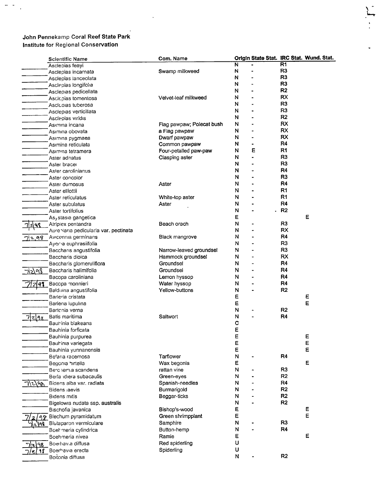$\frac{1}{\sqrt{2}}$  ,  $\frac{1}{\sqrt{2}}$ 

|         | <b>Scientific Name</b>                   | Com. Name                 |   |                |                | Origin State Stat. IRC Stat. Wund. Stat. |
|---------|------------------------------------------|---------------------------|---|----------------|----------------|------------------------------------------|
|         | Asclepias feayi                          |                           | N |                | R1             |                                          |
|         | Asclepias incarnata                      | Swamp milkweed            | N |                | R <sub>3</sub> |                                          |
|         | Asclepias lanceolata                     |                           | N |                | R <sub>3</sub> |                                          |
|         | Asclepias longifolia                     |                           | N |                | R <sub>3</sub> |                                          |
|         | Asclepias pedicellata                    |                           | N |                | R <sub>2</sub> |                                          |
|         | Ascicpias tomentosa                      | Velvet-leaf milkweed      | N |                | <b>RX</b>      |                                          |
|         | Ascicoias tuberosa                       |                           | N |                | R <sub>3</sub> |                                          |
|         | Asclepias verticiliata                   |                           | N |                | R <sub>3</sub> |                                          |
|         | Asclepias viridis                        |                           | N |                | R <sub>2</sub> |                                          |
|         | Asimina incana                           | Flag pawpaw; Polecat bush | N |                | RX             |                                          |
|         | Asimina obovata                          | a Flag pawpaw             | N |                | <b>RX</b>      |                                          |
|         | Asimina pygmaea                          | Dwarf pawpaw              | N | ۰              | RX             |                                          |
|         | Asimina reticulata                       | Common pawpaw             | N | $\blacksquare$ | R4             |                                          |
|         | Asimina tetramera                        | Four-petalled paw-paw     | N | Ε              | R <sub>1</sub> |                                          |
|         |                                          | Clasping aster            | N | $\blacksquare$ | R <sub>3</sub> |                                          |
|         | Aster adnatus                            |                           | N |                | R <sub>3</sub> |                                          |
|         | Aster bracer                             |                           | N |                | R4             |                                          |
|         | Aster carolinianus                       |                           |   |                | R3             |                                          |
|         | Aster concolor                           |                           | N |                |                |                                          |
|         | Aster dumosus                            | Aster                     | N |                | R4             |                                          |
|         | Aster elliottii                          |                           | N |                | R <sub>1</sub> |                                          |
|         | Aster reticulatus                        | White-top aster           | N |                | R1             |                                          |
|         | Aster subulatus                          | Aster                     | N |                | R <sub>4</sub> |                                          |
|         | Aster tortifolius                        |                           | N |                | R <sub>2</sub> |                                          |
|         | Asystasia gangetica                      |                           | E |                |                | Е                                        |
| าเขจง   | Atriplex pentandra                       | Beach orach               | N |                | R <sub>3</sub> |                                          |
|         | Aurenlaria pedicularia var. pectinata    |                           | N |                | RX             |                                          |
| 712.98  | Avicennia germinans                      | Black mangrove            | N |                | R4             |                                          |
|         | Ayer a euphrasilfolia                    |                           | N |                | R <sub>3</sub> |                                          |
|         | Baccharis angustifolia                   | Narrow-leaved groundsel   | N |                | R <sub>3</sub> |                                          |
|         | Baccharis dioica                         | Hammock groundsel         | N |                | <b>RX</b>      |                                          |
|         | Baccharis glomeruliflora                 | Groundsel                 | N |                | R <sub>4</sub> |                                          |
| ¬∖ว\ค\$ | Baccharis halimifolia                    | Groundsel                 | N |                | R4             |                                          |
|         | Bacopa caroliniana                       | Lemon hyssop              | N |                | R <sub>4</sub> |                                          |
| 197     | Bacopa monnieri                          | Water hyssop              | N |                | R <sub>4</sub> |                                          |
|         | Balduina angustifolia                    | Yellow-buttons            | N |                | R <sub>2</sub> |                                          |
|         | Barleria cristata                        |                           | E |                |                | E                                        |
|         | Barleria lupulina                        |                           | Е |                |                | E                                        |
|         | Bartonia verna                           |                           | N |                | R <sub>2</sub> |                                          |
|         | Batis maritima                           | Saltwort                  | N |                | R4             |                                          |
|         | Baurinia blakeana                        |                           | c |                |                |                                          |
|         | Bauhinia forficata                       |                           | Ε |                |                |                                          |
|         | Bauhinia purpurea                        |                           | E |                |                | Е                                        |
|         | Bauhinia variegata                       |                           | E |                |                | E                                        |
|         |                                          |                           | E |                |                | Ε                                        |
|         | Bauhinia yunnanensis<br>Befaria racemosa | Tarflower                 | N |                | R <sub>4</sub> |                                          |
|         |                                          |                           |   |                |                |                                          |
|         | Begonia hirtella                         | Wax begonia               | E |                |                | Е                                        |
|         | Berchema scandens                        | rattan vine               | N |                | R3             |                                          |
|         | Berla idiera subacaulis                  | Green-eyes                | N |                | R <sub>2</sub> |                                          |
| \ ۱۹۶   | Bidens alba var. radiata                 | Spanish-needles           | N |                | R4             |                                          |
|         | <b>Bidens aevis</b>                      | Burmarigold               | N |                | R <sub>2</sub> |                                          |
|         | <b>Bidens mitis</b>                      | Beggar-ticks              | N |                | R <sub>2</sub> |                                          |
|         | Bigelowia nudata ssp. australis          |                           | N |                | R <sub>2</sub> |                                          |
|         | Bischofia javanica                       | Bishop's-wood             | E |                |                | E                                        |
|         | Blechum pyramidatum                      | Green shrimpplant         | E |                |                | E                                        |
| ዓՉ      | Blutaparon vermiculare                   | Samphire                  | N |                | R <sub>3</sub> |                                          |
|         | Boel meria cylindrica                    | Button-hemp               | N |                | R4             |                                          |
|         | Boehmeria nivea                          | Ramie                     | Ε |                |                | Е                                        |
| 98      | Boerhavia diffusa                        | Red spiderling            | U |                |                |                                          |
| 98      | Boerhavia erecta                         | Spiderling                | U |                |                |                                          |
|         | Boitonia diffusa                         |                           | N |                | R <sub>2</sub> |                                          |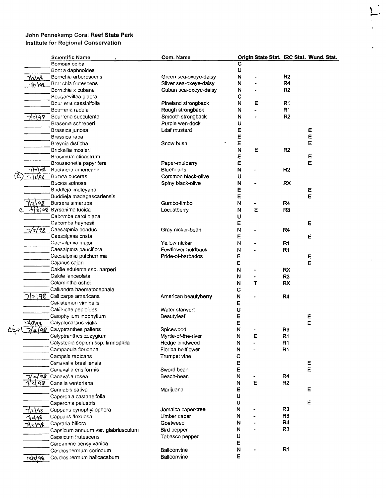$\ddot{\phantom{a}}$ 

|                     | <b>Scientific Name</b>             | Com. Name              |                         |   |                | Origin State Stat. IRC Stat. Wund. Stat. |
|---------------------|------------------------------------|------------------------|-------------------------|---|----------------|------------------------------------------|
|                     | Bompax ceiba                       |                        | $\overline{\mathbf{c}}$ |   |                |                                          |
|                     | Bont a daphnoides                  |                        | U                       |   |                |                                          |
| <u> 7/2/96</u>      | Borrichia arborescens              | Green sea-oxeye-daisy  | N                       |   | R <sub>2</sub> |                                          |
| 1/2/98              | Borr chia frutescens               | Silver sea-oxeye-daisy | N                       |   | R <sub>4</sub> |                                          |
|                     | Borrichia x cubana                 | Cuban sea-oxeye-daisy  | N                       |   | R <sub>2</sub> |                                          |
|                     | Bouganvillea glabra                |                        | c                       |   |                |                                          |
|                     | Bour erla cassinifolia             | Pineland strongback    | N                       | Ε | R1             |                                          |
|                     | Bourreria radula                   | Rough strongback       | N                       |   | R1             |                                          |
| 7 z q 8             | Bourreria succulenta               | Smooth strongback      | N                       |   | R <sub>2</sub> |                                          |
|                     | Brasenia schreberi                 | Purple wen-dock        | U                       |   |                |                                          |
|                     | Brassica juncea                    | Leaf mustard           | E                       |   |                | E                                        |
|                     | Brassica rapa                      |                        | E                       |   |                | E                                        |
|                     | Breynia disticha                   | Snow bush              | E                       |   |                | E                                        |
|                     | Brickellia mosieri                 |                        | N                       | Е | R <sub>2</sub> |                                          |
|                     | Brosimum alicastrum                |                        | E                       |   |                | E                                        |
|                     | Broussonetia papyrifera            | Paper-mulberry         | E                       |   |                | E                                        |
| ا 1∿∛∘              | Buchnera americana                 | <b>Bluehearts</b>      | N                       |   | R <sub>2</sub> |                                          |
| zlqg                | Bucida buceras                     | Common black-olive     | U                       |   |                |                                          |
|                     | Bucida spinosa                     | Spiny black-olive      | $\mathsf{N}$            |   | <b>RX</b>      |                                          |
|                     | Buddleja undleyana                 |                        | E                       |   |                | E                                        |
|                     | Buddieja madagascariensis          |                        | E                       |   |                | E                                        |
| $^{\circ}$          | Bursera simaruba                   | Gumbo-limbo            | N                       |   | R <sub>4</sub> |                                          |
|                     | બે ટ{ બ§ Byrsonima lucida          | Locustberry            | $\mathsf{N}$            | Ε | R <sub>3</sub> |                                          |
|                     | Cabomba caroliniana                |                        | U                       |   |                |                                          |
|                     | Cabomba haynesii                   |                        | E                       |   |                | E                                        |
| 7/2/98              | Caesalpinia bonduc                 | Gray nicker-bean       | N                       |   | R <sub>4</sub> |                                          |
|                     | Caesalpinia crista                 |                        | E                       |   |                | Е                                        |
|                     | Caesalpinia major                  | Yellow nicker          | N                       |   | R1             |                                          |
|                     | Caesalpinia pauciflora             | Fewflower holdback     | N                       |   | R <sub>1</sub> |                                          |
|                     | Caesalpinia pulcherrima            | Pride-of-barbados      | E                       |   |                | E                                        |
|                     | Cajanus cajan                      |                        | E                       |   |                | E                                        |
|                     | Cakile edulenta ssp. harperi       |                        | N                       |   | <b>RX</b>      |                                          |
|                     | Cakile lanceolata                  |                        | Ν                       |   | R <sub>3</sub> |                                          |
|                     | Calamintha ashei                   |                        | N                       | Τ | <b>RX</b>      |                                          |
|                     | Calliandra haematocephala          |                        | C                       |   |                |                                          |
|                     | 7/2 98 Callicarpa americana        | American beautyberry   | N                       |   | R <sub>4</sub> |                                          |
|                     | Canistemon viminalis               |                        | E                       |   |                |                                          |
|                     | Caliituche peploides               | Water starwort         | U                       |   |                |                                          |
|                     | Calophyllum inophyllum             | Beautyleaf             | Е                       |   |                | Ε                                        |
| <sup>147</sup> 9199 | Calyptocarpus vialis               |                        | E                       |   |                | E                                        |
| 7/2/98              | Ca yptranthes pallens              | Spicewood              | N                       |   | R <sub>3</sub> |                                          |
|                     | Calyptranthes zuzygium             | Myrtle-of-the-river    | N                       | Ε | R <sub>1</sub> |                                          |
|                     | Calystegia sepium ssp. limnophila  | Hedge bindweed         | N                       |   | R <sub>1</sub> |                                          |
|                     | Campanula floridana                | Florida bellflower     | N                       |   | R <sub>1</sub> |                                          |
|                     | Campsis radicans                   | Trumpet vine           | C                       |   |                |                                          |
|                     | Canavalia brasiliensis             |                        | E                       |   |                | E                                        |
|                     | Canaval a ensiformis               | Sword bean             | E                       |   |                | E                                        |
|                     | $z/92$ Canaval a rosea             | Beach-bean             | N                       |   | R <sub>4</sub> |                                          |
| 98                  | Cane la winteriana                 |                        | N                       | E | R <sub>2</sub> |                                          |
|                     | Cannabis sativa                    | Marijuana              | E                       |   |                | Е                                        |
|                     | Caperonia castaneifolia            |                        | U                       |   |                |                                          |
|                     | Caperonia palustris                |                        | U                       |   |                | E                                        |
|                     | Capparis cynophyllophora           | Jamaica caper-tree     | N                       |   | R <sub>3</sub> |                                          |
| 712198              | Capparis flexuosa                  | Limber caper           | N                       |   | R3             |                                          |
| 7/2198              | Capraria biflora                   | Goatweed               | N                       |   | R <sub>4</sub> |                                          |
|                     | Capsicum annuum var. glabriusculum | Bird pepper            | N                       |   | R <sub>3</sub> |                                          |
|                     | Capsicum frutescens                | Tabasco pepper         | U                       |   |                |                                          |
|                     | Cardamine pensylvanica             |                        | E                       |   |                |                                          |
|                     | Cardiospermum corindum             | Balloonvine            | N                       |   | R <sub>1</sub> |                                          |
| <u> ।</u> ર[શ] ૧૬   | Ca.dios.permum halicacabum         | Balloonvine            | E                       |   |                |                                          |
|                     |                                    |                        |                         |   |                |                                          |

 $\ddot{\bullet}$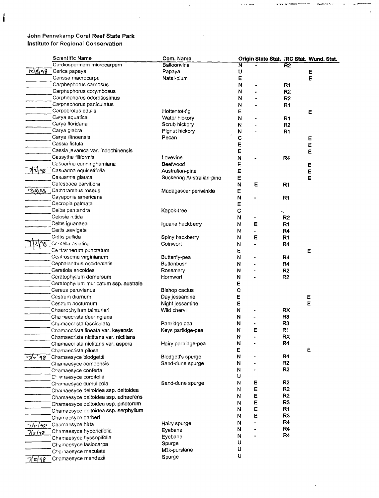$\mathbf{I}$ 

|           | <b>Scientific Name</b>                            | Com. Name                 |                         |   |                     | Origin State Stat. IRC Stat. Wund. Stat. |
|-----------|---------------------------------------------------|---------------------------|-------------------------|---|---------------------|------------------------------------------|
|           | Cardiospermum microcarpum                         | Balloonvine               | $\overline{\mathbf{N}}$ |   | R <sub>2</sub>      |                                          |
|           | $\lceil 2 \rceil$ $\lceil 3 \rceil$ Carica papaya | Papaya                    | U                       |   |                     | E                                        |
|           | Carissa macrocarpa                                | Natal-plum                | E                       |   |                     | E                                        |
|           | Carphephorus carnosus                             |                           | N                       |   | R <sub>1</sub>      |                                          |
|           | Carphephorus corymbosus                           |                           | N                       |   | R <sub>2</sub>      |                                          |
|           | Carphephorus odoratissimus                        |                           | N                       |   | R <sub>2</sub>      |                                          |
|           | Carpnephorus paniculatus                          |                           | N                       |   | R <sub>1</sub>      |                                          |
|           | Carpobrotus edulis                                | Hottentot-fig             | E                       |   |                     | E                                        |
|           | Carya aquatica                                    | Water hickory             | N                       |   | R <sub>1</sub>      |                                          |
|           | Carya floridana                                   | Scrub hickory             | N                       |   | R2                  |                                          |
|           | Carya glabra                                      | Pignut hickory            | N                       |   | R <sub>1</sub>      |                                          |
|           | Carya illinoensis                                 | Pecan                     | C                       |   |                     | Е                                        |
|           | Cassia fistula                                    |                           | E                       |   |                     | E                                        |
|           | Cassia javanica var. indochinensis                |                           | E                       |   |                     | E                                        |
|           | Cassytha filiformis                               | Lovevine                  | N                       |   | R <sub>4</sub>      |                                          |
|           | Casuarina cunninghamiana                          | Beefwood                  | Е                       |   |                     | Е                                        |
| 7 ચે 98   | Casuarina equisetifolia                           | Australian-pine           | E                       |   |                     | E                                        |
|           | Casuarina glauca                                  | Suckering Australian-pine | Ε                       |   |                     | Ε                                        |
|           | Catesbaea parviflora                              |                           | N                       | Е | R <sub>1</sub>      |                                          |
|           | 2/9/08 Cathoranthus roseus                        | Madagascar periwinkle     | Е                       |   |                     |                                          |
|           | Cayaponia americana                               |                           | N                       |   | R <sub>1</sub>      |                                          |
|           | Cecropia palmata                                  |                           | Е                       |   |                     |                                          |
|           | Ceiba pentandra                                   | Kapok-tree                | $\mathbf C$             |   |                     |                                          |
|           | Celosia nitida                                    |                           | N                       |   | ╲<br>R <sub>2</sub> |                                          |
|           | Celtis iguanaea                                   |                           |                         |   |                     |                                          |
|           | Ceitis aevigata                                   | Iguana hackberry          | N                       | E | R <sub>1</sub>      |                                          |
|           |                                                   |                           | N                       |   | R <sub>4</sub>      |                                          |
|           | Celtis pallida                                    | Spiny hackberry           | N                       | E | R <sub>1</sub>      |                                          |
|           | Centella asiatica                                 | Coinwort                  | N                       |   | R <sub>4</sub>      |                                          |
|           | Centra nerum punctatum                            |                           | E                       |   |                     | Е                                        |
|           | Centrosema virginianum                            | Butterfly-pea             | N                       |   | R <sub>4</sub>      |                                          |
|           | Cephalanthus occidentalis                         | Buttonbush                | N                       |   | R4                  |                                          |
|           | Ceratiola ericoides                               | Rosemary                  | N                       |   | R <sub>2</sub>      |                                          |
|           | Ceratophyllum demersum                            | Hornwort                  | N                       |   | R <sub>2</sub>      |                                          |
|           | Ceratophyllum muricatum ssp. australe             |                           | Е                       |   |                     |                                          |
|           | Cereus peruvianus                                 | Bishop cactus             | C                       |   |                     |                                          |
|           | Cestrum diurnum                                   | Day jessamine             | E                       |   |                     | E                                        |
|           | Cestrum nocturnum                                 | Night jessamine           | Ε                       |   |                     | Ε                                        |
|           | Chaerochyllum tainturieri                         | Wild chervil              | N                       |   | <b>RX</b>           |                                          |
|           | Cha naecrista deeringiana                         |                           | N                       |   | R <sub>3</sub>      |                                          |
|           | Chamaecrista fasciculata                          | Partridge pea             | N                       |   | R3                  |                                          |
|           | Chamaecrista lineata var. keyensis                | Keys partidge-pea         | N                       | E | R <sub>1</sub>      |                                          |
|           | Chamaecrista nictitans var. nictitans             |                           | N                       |   | <b>RX</b>           |                                          |
|           | Chamaecrista nictitans var. aspera                | Hairy partridge-pea       | N                       |   | R4                  |                                          |
|           | Chamaecrista pilosa                               |                           | Е                       |   |                     | E                                        |
| 77'98     | Chamaesyce blodgettii                             | Blodgett's spurge         | N                       |   | R4                  |                                          |
|           | Chamaesyce bombensis                              | Sand-dune spurge          | N                       |   | R <sub>2</sub>      |                                          |
|           | Chamaesyce conferta                               |                           | N                       |   | R <sub>2</sub>      |                                          |
|           | C' anaesyce cordifolia                            |                           | υ                       |   |                     |                                          |
|           | Chamaesyce cumulicola                             | Sand-dune spurge          | N                       | Ε | R <sub>2</sub>      |                                          |
|           | Chamaesyce deltoidea ssp. deltoidea               |                           | N                       | Ε | R2                  |                                          |
|           | Chamaesyce deltoidea ssp. adhaerens               |                           | N                       | E | R2                  |                                          |
|           | Chamaesyce deltoidea ssp. pinetorum               |                           | N                       | E | R <sub>3</sub>      |                                          |
|           | Chamaesyce deltoidea ssp. serphyllum              |                           | N                       | Ε | R <sub>1</sub>      |                                          |
|           | Chamaesyce garberi                                |                           | N                       | Е | R <sub>3</sub>      |                                          |
|           |                                                   | Hairy spurge              | N                       |   | R <sub>4</sub>      |                                          |
| 7/7/98    | Chamaesyce hirta                                  | Eyebane                   | N                       |   | R <sub>4</sub>      |                                          |
| 7/2/18    | Chamaesyce hypericifolia                          | Eyebane                   | N                       |   | R4                  |                                          |
|           | Chamaesyce hyssopifolia                           | Spurge                    | U                       |   |                     |                                          |
|           | Chamaesyce lasiocarpa                             |                           | U                       |   |                     |                                          |
|           | Chai laesyce maculata                             | Milk-purslane             | U                       |   |                     |                                          |
| $7 z $ 98 | Cramaesyce mendezii                               | Spurge                    |                         |   |                     |                                          |

 $\ddot{x}$  are since

 $\downarrow$ 

 $\ddot{\phantom{1}}$ 

 $\ddot{\phantom{0}}$ 

erer wieden tiert ti

 $\sigma$  and  $\sigma$  is  $\sigma$ 

 $\bullet$ 

 $\bullet$  $\mathbf{v}$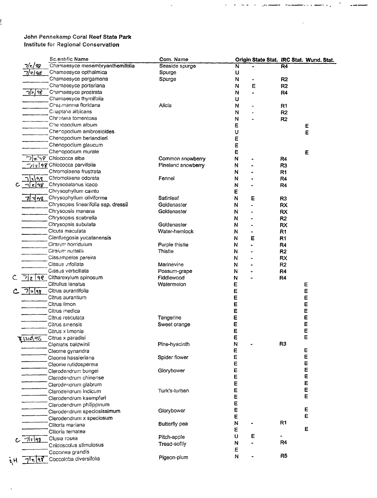Ļ

|                   | <b>Sc.entific Name</b>                                             | Com. Name          |   |   |                | Origin State Stat. IRC Stat. Wund. Stat. |
|-------------------|--------------------------------------------------------------------|--------------------|---|---|----------------|------------------------------------------|
| 7/2/98            | Chamaesyce mesembryanthemifolia                                    | Seaside spurge     | N |   | R4             |                                          |
| 7/2/98            | Chamaesyce opthalmica                                              | Spurge             | U |   |                |                                          |
|                   | Chamaesyce pergamena                                               | Spurge             | N |   | R <sub>2</sub> |                                          |
|                   | Chamaesyce porteriana                                              |                    | N | E | R <sub>2</sub> |                                          |
| 7/2/98            | Chamaesyce prostrata                                               |                    | N |   | R <sub>4</sub> |                                          |
|                   | Chamaesyce thymifolia                                              |                    | U |   |                |                                          |
|                   | Chapmannia floridana                                               | Alicia             | Ν |   | R <sub>1</sub> |                                          |
|                   | Citapta'ia albicans                                                |                    | N |   | R <sub>2</sub> |                                          |
|                   | Chaptaila tomentosa                                                |                    | N |   | R <sub>2</sub> |                                          |
|                   | Che ropodium album                                                 |                    | Ε |   |                | Ε                                        |
|                   | Cheropodium ambrosioides                                           |                    | U |   |                | E                                        |
|                   | Chenopodium berlandieri                                            |                    | Ε |   |                |                                          |
|                   | Chenopodium glaucum                                                |                    | E |   |                |                                          |
|                   | Chenopodium murale                                                 |                    | E |   |                | E                                        |
|                   | つとら? Chiococca alba                                                | Common snowberry   | N |   | R4             |                                          |
|                   | $\neg$ <sub>/</sub> $\neg$   $\neq$ $\vec{g}$ Chiococca parvifolia | Pineland snowberry | N |   | R <sub>3</sub> |                                          |
|                   | Chromolaena frustrata                                              |                    | N |   | R1             |                                          |
| <u> ገ\ኒ\</u> ዓዌ   | Chromolaena odorata                                                | Fennel             | N |   |                |                                          |
|                   | $C - j \epsilon  98$ Chrysobalanus icaco                           |                    |   |   | R4             |                                          |
|                   | Chrysophyllum cainto                                               |                    | N |   | R4             |                                          |
|                   |                                                                    |                    | E |   |                |                                          |
|                   | 1448 Chrysophyllum oliviforme                                      | Satinleaf          | N | Ε | R <sub>3</sub> |                                          |
|                   | Chrysopsis linearifolia ssp. dressii                               | Goldenaster        | N |   | <b>RX</b>      |                                          |
|                   | Chrysopsis mariana                                                 | Goldenaster        | N |   | <b>RX</b>      |                                          |
|                   | Chrysopsis scabrella                                               |                    | N |   | R <sub>2</sub> |                                          |
|                   | Chrysopsis subulata                                                | Goldenaster        | N |   | <b>RX</b>      |                                          |
|                   | Cicuta maculata                                                    | Water-hemlock      | N |   | R <sub>1</sub> |                                          |
|                   | Cienfuegosia yucatanensis                                          |                    | N | Ε | R <sub>1</sub> |                                          |
|                   | Cirsium horridulum                                                 | Purple thistle     | N |   | R <sub>4</sub> |                                          |
|                   | Cirsium nuttallin                                                  | Thistle            | N |   | R2             |                                          |
|                   | Cissampelos pareira                                                |                    | N |   | <b>RX</b>      |                                          |
|                   | Cissus trifoliata                                                  | Marinevine         | N |   | R <sub>2</sub> |                                          |
|                   | Cissus verticillata                                                | Possum-grape       | N |   | R4             |                                          |
|                   | 7 2 9 4 Citharexylum spinosum                                      | Fiddlewood         | N |   | R4             |                                          |
|                   | Citrullus lanatus                                                  | Watermelon         | E |   |                | Е                                        |
| 7729              | Citrus aurantifolia                                                |                    | E |   |                | E                                        |
|                   | Citrus aurantium                                                   |                    | E |   |                | E                                        |
|                   | Citrus limon                                                       |                    | E |   |                | E                                        |
|                   | Citrus medica                                                      |                    | E |   |                | Ε                                        |
|                   | Citrus reticulata                                                  | Tangerine          | E |   |                | E                                        |
|                   | Citrus sinensis                                                    | Sweet orange       | E |   |                | E                                        |
|                   | Citrus x Imonia                                                    |                    | E |   |                | E                                        |
|                   | Citrus x paradisi                                                  |                    | E |   |                | Ē                                        |
| <u> X 1218 96</u> | Clematis baldwinii                                                 | Pine-hyacinth      | N |   | R <sub>3</sub> |                                          |
|                   | Cleome gynandra                                                    |                    | E |   |                | E                                        |
|                   | Cleome hassleriana                                                 | Spider flower      | E |   |                | E                                        |
|                   |                                                                    |                    | E |   |                | Е                                        |
|                   | Cleome rutidosperma                                                | Glorybower         | E |   |                | E                                        |
|                   | Clerodendrum bungei                                                |                    | E |   |                | E                                        |
|                   | Clerodendrum chinense                                              |                    | E |   |                | E                                        |
|                   | Clerodenarum glabrum                                               |                    |   |   |                | Ε                                        |
|                   | Clerodendrum indicum                                               | Turk's-turban      | E |   |                | Е                                        |
|                   | Clerodendrum kaempferi                                             |                    | E |   |                |                                          |
|                   | Clerodendrum philippinum                                           |                    | E |   |                |                                          |
|                   | Clerodendrum speciosissimum                                        | Glorybower         | E |   |                | E                                        |
|                   | Clerodendrum x speciosum                                           |                    | E |   |                | Е                                        |
|                   | Clitoria mariana                                                   | Butterfly pea      | N |   | R <sub>1</sub> |                                          |
|                   | Clitoria ternatea                                                  |                    | Ε |   |                | E                                        |
| 712198            | Clusia rosea                                                       | Pitch-apple        | U | Е |                |                                          |
|                   | Cnidoscolus stimulosus                                             | Tread-softly       | N |   | R <sub>4</sub> |                                          |
|                   | Coccinea grandis                                                   |                    | E |   |                |                                          |
| र ११              | Coccoloba diversifolia                                             | Pigeon-plum        | N |   | R <sub>5</sub> |                                          |
|                   |                                                                    |                    |   |   |                |                                          |

 $\star$ 

 $+$  where -

ang pagalawan ng p

 $\ddot{\phantom{1}}$ 

a non co presente from

 $\bar{\mathbf{r}}$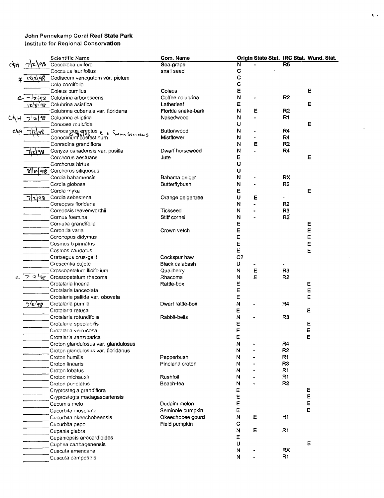|     |        | <b>Scientific Name</b>                       | Com. Name          |             |   |                 | Origin State Stat. IRC Stat. Wund. Stat. |
|-----|--------|----------------------------------------------|--------------------|-------------|---|-----------------|------------------------------------------|
| c¢H | 98.    | Coccoloba uvifera                            | Sea-grape          | N           |   | $\overline{R5}$ |                                          |
|     |        | Cocculus laurifolius                         | snail seed         | C           |   |                 |                                          |
|     | ૬∖વ%   | Codiaeum variegatum var. pictum              |                    | $\mathbf C$ |   |                 |                                          |
|     |        | Cola cordifolia                              |                    | $\mathbf C$ |   |                 |                                          |
|     |        | Coleus pumilus                               | Coleus             | E           |   |                 | E                                        |
|     | z 48   | Colubrina arborescens                        | Coffee colubrina   | N           |   | R2              |                                          |
|     |        | 1z/g/9g Colubrina asiatica                   | Latherleaf         | Ε           |   |                 | Ε                                        |
|     |        | Colubrina cubensis var. floridana            | Florida snake-bark | N           | Е | R <sub>2</sub>  |                                          |
| CEH | 7z18   | Colubrina elliptica                          | Nakedwood          | N           |   | R <sub>1</sub>  |                                          |
|     |        | Conobea multifida                            |                    | U           |   |                 | E                                        |
|     |        | Sorna Serveeus                               | <b>Buttonwood</b>  | N           |   | R4              |                                          |
|     |        | Conocarpus erectus<br>Conoclinum coefestinum | <b>Mistflower</b>  | N           |   | R4              |                                          |
|     |        | Conradina grandiflora                        |                    | N           | Е | R <sub>2</sub>  |                                          |
|     | 71z198 | Conyza canadensis var. pusilla               | Dwarf horseweed    | N           |   | R4              |                                          |
|     |        | Corchorus aestuans                           | Jute               | Ε           |   |                 | Ε                                        |
|     |        | Corchorus hirtus                             |                    | U           |   |                 |                                          |
|     |        | 8 m 98 Corchorus siliquosus                  |                    | U           |   |                 |                                          |
|     |        | Cordia bahamensis                            | Bahama geiger      | N           |   | RX              |                                          |
|     |        | Cordia globosa                               | Butterflybush      | N           |   | R <sub>2</sub>  |                                          |
|     |        | Cordia myxa                                  |                    | Ε           |   |                 | Е                                        |
|     | 7ોર¦૧૧ | Cordia sebestena                             | Orange geigertree  | U           | Ε |                 |                                          |
|     |        | Coreopsis floridana                          |                    | N           |   | R <sub>2</sub>  |                                          |
|     |        | Coreopsis leavenworthii                      | <b>Tickseed</b>    | N           |   | R <sub>3</sub>  |                                          |
|     |        | Cornus foemina                               | Stiff cornel       | N           |   | R2              |                                          |
|     |        | Cornutia grandifolia                         |                    | Ε           |   |                 | Е                                        |
|     |        | Coronilla varia                              | Crown vetch        | E           |   |                 | E                                        |
|     |        | Coronopus didymus                            |                    | E           |   |                 | E                                        |
|     |        | Cosmos b pinnatus                            |                    | E           |   |                 | E                                        |
|     |        | Cosmos caudatus                              |                    | E           |   |                 | E                                        |
|     |        | Crataegus crus-galli                         | Cockspur haw       | C?          |   |                 |                                          |
|     |        | Crescentia cujete                            | Black calabash     | U           |   |                 |                                          |
|     |        | Crossopetalum ilicifolium                    | Quailberry         | ${\sf N}$   | E | R <sub>3</sub>  |                                          |
| c   | 77372  | Crossopetalum rhacoma                        | Rhacoma            | N           | E | R <sub>2</sub>  |                                          |
|     |        | Crotalaria incana                            | Rattle-box         | E           |   |                 | Ε                                        |
|     |        | Crotalaria lanceolata                        |                    | E           |   |                 | E                                        |
|     |        | Crotalaria pallida var. obovata              |                    | E           |   |                 | E                                        |
|     | 7/2/98 | Crotalaria pumila                            | Dwarf rattle-box   | N           |   | R4              |                                          |
|     |        | Crotalaria retusa                            |                    | Е           |   |                 | E                                        |
|     |        | Crotalaria rotundifolia                      | Rabbit-bells       | N           |   | R <sub>3</sub>  |                                          |
|     |        | Crotalaria spectabilis                       |                    | Ε           |   |                 | E                                        |
|     |        | Crotalaria verrucosa                         |                    | E           |   |                 | E                                        |
|     |        | Crotalaria zanzibarica                       |                    | F           |   |                 | Ë                                        |
|     |        | Croton glandulosus var. glandulosus          |                    | N           |   | R <sub>4</sub>  |                                          |
|     |        | Croton glandulosus var. floridanus           |                    | N           |   | R <sub>2</sub>  |                                          |
|     |        | Croton humilis                               | Pepperbush         | N           |   | R <sub>1</sub>  |                                          |
|     |        | Croton linearis                              | Pineland croton    | N           |   | R <sub>3</sub>  |                                          |
|     |        | Croton lobatus                               |                    | N           |   | R <sub>1</sub>  |                                          |
|     |        | Croton michauxir                             | Rushfoil           | N           |   | R1              |                                          |
|     |        | Croton punctatus                             | Beach-tea          | N           |   | R <sub>2</sub>  |                                          |
|     |        | Cryptostegia grandiflora                     |                    | E           |   |                 | E                                        |
|     |        | Cryptostegia madagascariensis                |                    | E           |   |                 | E                                        |
|     |        | Cucumis melo                                 | Dudaim melon       | E           |   |                 | $\mathsf E$                              |
|     |        | Cucurbita moschata                           | Seminole pumpkin   | Е           |   |                 | E                                        |
|     |        | Cucurbita okeechobeensis                     | Okeechobee gourd   | N           | Ε | R1              |                                          |
|     |        | Cucurbita pepo                               | Field pumpkin      | C           |   |                 |                                          |
|     |        | Cupania glabra                               |                    | N           | Е | R1              |                                          |
|     |        | Cupaniopsis aracardioides                    |                    | Ε           |   |                 |                                          |
|     |        | Cuphea carthagenensis                        |                    | U           |   |                 | E                                        |
|     |        | Cuscuta americana                            |                    | N           |   | <b>RX</b>       |                                          |
|     |        | Cuscuta campestris                           |                    | N           |   | R1              |                                          |
|     |        |                                              |                    |             |   |                 |                                          |

 $\ddot{\phantom{0}}$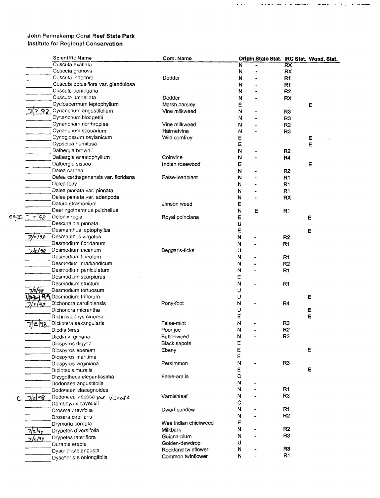|     |                | Scientific Name                                            | Com. Name                     |                         |   |                 | Origin State Stat. IRC Stat. Wund. Stat. |
|-----|----------------|------------------------------------------------------------|-------------------------------|-------------------------|---|-----------------|------------------------------------------|
|     |                | Cuscuta exaltata                                           |                               | $\overline{\mathsf{N}}$ |   | $\overline{RX}$ |                                          |
|     |                | Cuscuta gronovir                                           |                               | N                       |   | <b>RX</b>       |                                          |
|     |                | Cuscuta indecora                                           | Dodder                        | N                       |   | R <sub>1</sub>  |                                          |
|     |                | Cuscuta obtusifiora var. glandulosa                        |                               | N                       |   | R <sub>1</sub>  |                                          |
|     |                | Cuscuta pentagona                                          |                               | N                       |   | R <sub>2</sub>  |                                          |
|     |                | Cuscuta umbellata                                          | Dodder                        | N                       |   | <b>RX</b>       |                                          |
|     |                | Cyclospermum leptophyllum                                  | Marsh parsley                 | Ε                       |   |                 | Ε                                        |
|     |                | $\mathbf{P}^{\prime}$ $\mathbf{Q}$ Cynanchum angustifolium | Vine milkweed                 | N                       |   |                 |                                          |
|     |                | Cynanchum blodgettii                                       |                               |                         |   | R <sub>3</sub>  |                                          |
|     |                | Cynanchum northropiae                                      |                               | N                       |   | R <sub>3</sub>  |                                          |
|     |                |                                                            | Vine milkweed                 | N                       |   | R <sub>2</sub>  |                                          |
|     |                | Cynanchum scoparium                                        | Hairnetvine                   | N                       |   | R <sub>3</sub>  |                                          |
|     |                | Cyrogiossum zeylanicum                                     | Wild comfrey                  | Е                       |   |                 | E                                        |
|     |                | Cypselea humifusa                                          |                               | Ε                       |   |                 | E                                        |
|     |                | Dalbergia brownii                                          |                               | N                       |   | R <sub>2</sub>  |                                          |
|     |                | Dalbergia ecastophyllum                                    | Coinvine                      | N                       |   | R <sub>4</sub>  |                                          |
|     |                | Dalbergia sissoo                                           | Indian rosewood               | Ε                       |   |                 | E                                        |
|     |                | Dalea carnea                                               |                               | N                       |   | R2              |                                          |
|     |                | Dalea carthagenensis var. floridana                        | False-leadplant               | N                       |   | R <sub>1</sub>  |                                          |
|     |                | Dalea feay                                                 |                               | N                       |   | R1              |                                          |
|     |                | Dalea pinnata var. pinnata                                 |                               | N                       |   | R <sub>1</sub>  |                                          |
|     |                | Dalea pinnata var. adenpoda                                |                               | N                       |   | <b>RX</b>       |                                          |
|     |                | Datura stramonium                                          | Jimson weed                   | E                       |   |                 |                                          |
|     |                | Deeringothamnus pulchellus                                 |                               | N                       | Е | R <sub>1</sub>  |                                          |
| くも工 | $\sqrt{q^2}$   | Delonix regia                                              | Royal poinciana               | Е                       |   |                 | Е                                        |
|     |                | Descurainia pinnata                                        |                               | U                       |   |                 |                                          |
|     |                | Desmanthus leptophyllus                                    |                               | E                       |   |                 | Е                                        |
|     | - 192          | Desmanthus virgatus                                        |                               | N                       |   | R2              |                                          |
|     |                | Desmodium floridanum                                       |                               | N                       |   | R1              |                                          |
|     | 7/2/98         | Desmodium incanum                                          | Beggar's-ticks                | U                       |   |                 |                                          |
|     |                | Desmodium lineatum                                         |                               | N                       |   | R <sub>1</sub>  |                                          |
|     |                | Desmodiun mariiandicum                                     |                               | N                       |   | R2              |                                          |
|     |                | Desmodium paniculatum                                      |                               | N                       |   | R <sub>1</sub>  |                                          |
|     |                | Desmod um scorpiurus                                       |                               | Е                       |   |                 |                                          |
|     |                | Desmodium strictum                                         |                               | N                       |   |                 |                                          |
|     |                |                                                            |                               |                         |   | R1              |                                          |
|     | 7/2/98         | Desmodium tortuosum                                        |                               | U                       |   |                 |                                          |
|     |                | 2199 Desmodium triflorum                                   |                               | U                       |   |                 | Ε                                        |
|     | 92             | Dichondra caroliniensis                                    | Pony-foot                     | N                       |   | R <sub>4</sub>  |                                          |
|     |                | Dichondra micrantha                                        |                               | υ                       |   |                 | Е                                        |
|     |                | Dichrostachys cinerea                                      |                               | E                       |   |                 | E                                        |
|     | 2 98           | Dicliptera sexangularis                                    | False-mint                    | N                       |   | R <sub>3</sub>  |                                          |
|     |                | Diodía teres                                               | Poor joe                      | N                       |   | R2              |                                          |
|     |                | Diodia virginiana                                          | <b>Buttonweed</b>             | N                       |   | R <sub>3</sub>  |                                          |
|     |                | Diospyros digyna                                           | <b>Black sapote</b>           | Е                       |   |                 |                                          |
|     |                | Diospyros ebenum                                           | Ebeny                         | E                       |   |                 | Е                                        |
|     |                | Diospyros maritima                                         |                               | Ε                       |   |                 |                                          |
|     |                | Diospyros virginiana                                       | Persimmon                     | N                       |   | R <sub>3</sub>  |                                          |
|     |                | Diplotaxis muralis                                         |                               | Е                       |   |                 | Е                                        |
|     |                | Dizygotheca elegantissima                                  | False-aralia                  | $\mathbf C$             |   |                 |                                          |
|     |                | Dodonaea angustifolia                                      |                               | N                       |   |                 |                                          |
|     |                | Dodonaea elaeagnoides                                      |                               | N                       |   | R <sub>1</sub>  |                                          |
|     |                | Dodonaes v scosa Var viccofA                               | Varnishleaf                   | N                       |   | R <sub>3</sub>  |                                          |
|     | <u> 7/2 98</u> | Dombeya x cayeuxii                                         |                               | с                       |   |                 |                                          |
|     |                | Drosera orevifolia                                         | Dwarf sundew                  | N                       |   | R1              |                                          |
|     |                | Drosera capillaris                                         |                               | N                       |   | R <sub>2</sub>  |                                          |
|     |                |                                                            | Wes Indian chickweed          | Е                       |   |                 |                                          |
|     |                | Drymaria cordata                                           | Milkbark                      | N                       |   | R <sub>2</sub>  |                                          |
|     | /z/f3          | Drypetes diversifolia                                      |                               | N                       |   | R <sub>3</sub>  |                                          |
|     | $/$ =/98       | Drypetes lateriflora                                       | Guiana-plum<br>Golden-dewdrop | U                       |   |                 |                                          |
|     |                | Duranta erecta                                             | Rockland twinflower           | N                       |   | R <sub>3</sub>  |                                          |
|     |                | Dyschoriste angusta                                        |                               | N                       |   | R1              |                                          |
|     |                | Dyschoriste oblongifolia                                   | Common twinflower             |                         |   |                 |                                          |

 $\bar{\psi}$  ,  $\bar{\psi}$ 

exert <del>as a notar</del> www.communication.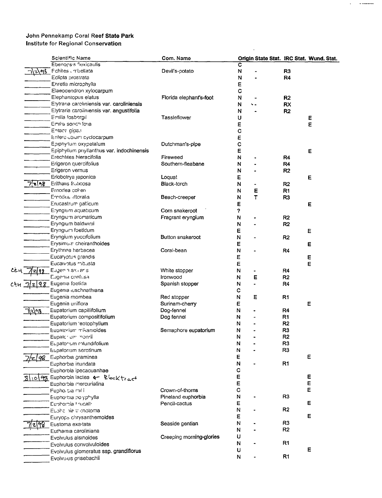|                   | Scientific Name                            | Com. Name                |              |    |                | Origin State Stat. IRC Stat. Wund. Stat. |
|-------------------|--------------------------------------------|--------------------------|--------------|----|----------------|------------------------------------------|
|                   | Ebenopsis flexicaulis                      |                          | С            |    |                |                                          |
| ાર∖ભઠે            | Fchites unbellata                          | Devil's-potato           | N            |    | R <sub>3</sub> |                                          |
|                   | Eclipta prostrata                          |                          | N            |    | R4             |                                          |
|                   | Ehretia microphylla                        |                          | E            |    |                |                                          |
|                   | Elaeodendron xylocarpum                    |                          | C            |    |                |                                          |
|                   | Elephantopus elatus                        | Florida elephant's-foot  | N            |    | R <sub>2</sub> |                                          |
|                   | Elytraria caroliniensis var. caroliniensis |                          | N            | ٠. | <b>RX</b>      |                                          |
|                   | Elytraria caroliniensis var. angustifolia  |                          | N            |    | R <sub>2</sub> |                                          |
|                   | Emilia fosbergii                           | Tassleflower             | U            |    |                | E                                        |
|                   | Emilia sonch foria                         |                          | E            |    |                | E                                        |
|                   | Entana gigas                               |                          | $\mathbf c$  |    |                |                                          |
|                   | Entero obiom cyclocarpum                   |                          | E            |    |                |                                          |
|                   | Epiphyllum oxypetalum                      | Dutchman's-pipe          | C            |    |                |                                          |
|                   | Epiphyllum pnyllanthus var. indochinensis  |                          | Е            |    |                | Е                                        |
|                   | Erechtites hieracifolia                    | Fireweed                 | N            |    | R <sub>4</sub> |                                          |
|                   | Erigeron quercifolius                      | Southern-fleabane        | N            |    | R <sub>4</sub> |                                          |
|                   | Erigeron vernus                            |                          | N            |    | R2             |                                          |
|                   | Eriobotrya japonica                        | Loquat                   | E            |    |                | E                                        |
| 7208              | Erithalis fruticosa                        | Black-torch              | N            |    | R2             |                                          |
|                   | Ernodea colieri                            |                          | N            | Е  | R <sub>1</sub> |                                          |
|                   | Ernodea littoralis                         | Beach-creeper            | N            | T  | R <sub>3</sub> |                                          |
|                   | Erucastrum gallicum                        |                          |              |    |                |                                          |
|                   | Eryngium aquaticum                         | Corn snakeroot           | E            |    |                | E                                        |
|                   |                                            |                          | ?            |    |                |                                          |
|                   | Eryngium aromaticum                        | Fragrant eryngium        | N            |    | R <sub>2</sub> |                                          |
|                   | Eryngium baldwinii                         |                          | N            |    | R <sub>2</sub> |                                          |
|                   | Eryngium foetidum                          |                          | E            |    |                | Ε                                        |
|                   | Eryngium yuccifolium                       | Button snakeroot         | N            |    | R <sub>2</sub> |                                          |
|                   | Erysimum cheiranthoides                    |                          | Ε            |    |                | E                                        |
|                   | Erythrina herbacea                         | Coral-bean               | N            |    | R4             |                                          |
|                   | Eucalyptus grandis                         |                          | E            |    |                | E                                        |
|                   | Eucaivotus robusta                         |                          | E            |    |                | E                                        |
|                   | Eugenia axiliaris                          | White stopper            | N            |    | R4             |                                          |
|                   | Eugenia confusa                            | Ironwood                 | N            | Е  | R2             |                                          |
|                   | CEM 7/2/98 Eugenia foetida                 | Spanish stopper          | N            |    | R4             |                                          |
|                   | Eugenia iuschnathiana                      |                          | с            |    |                |                                          |
|                   | Eugenia mombea                             | Red stopper              | N            | Ε  | R <sub>1</sub> |                                          |
|                   | Eugenia uniflora                           | Surinam-cherry           | Е            |    |                | Е                                        |
| <u> নী</u> হ\ণষ্ট | Eupatorium capillifolium                   | Dog-fennel               | N            |    | R4             |                                          |
|                   | Eupatorium compositifolium                 | Dog fennel               | N            |    | R <sub>1</sub> |                                          |
|                   | Eupatorium 'eptophyllum                    |                          | N            |    | R <sub>2</sub> |                                          |
|                   | Eupatorium mikanioides                     | Semaphore eupatorium     | $\mathsf{N}$ |    | R <sub>3</sub> |                                          |
|                   | Eupater um monrii                          |                          | N            |    | R <sub>2</sub> |                                          |
|                   | Eupatorium rotundifolium                   |                          | N            |    | R <sub>3</sub> |                                          |
|                   | Eupatorium serotinum                       |                          | N            |    | R <sub>3</sub> |                                          |
|                   | Euphorbia graminea                         |                          | E            |    |                | E                                        |
|                   | Euphorbia inundata                         |                          | N            |    | R1             |                                          |
|                   | Euphorbia ipecacuanhae                     |                          | $\mathbf C$  |    |                |                                          |
|                   | 81098 Euphorbia lactea & Blocktract        |                          | Е            |    |                | Е                                        |
|                   | Euphorbia mercurialina                     |                          | E            |    |                | E                                        |
|                   | Fupholbia mili                             | Crown-of-thorns          | C            |    |                | Ε                                        |
|                   | Euphorbia po yphylla                       | Pineland euphorbia       | N            |    | R <sub>3</sub> |                                          |
|                   | Euphorbia firucalli                        | Pencil-cactus            | Е            |    |                | Е                                        |
|                   | Eupha nie trichotoma                       |                          | N            |    | R <sub>2</sub> |                                          |
|                   | Euryops chrysanthemoides                   |                          | Ε            |    |                | E                                        |
|                   | Eustoma exa tata                           | Seaside gentian          | N            |    | R <sub>3</sub> |                                          |
|                   | Euthamia caroliniana                       |                          | Ν            |    | R <sub>2</sub> |                                          |
|                   | Evolvulus alsinoides                       | Creeping morning-glories | U            |    |                |                                          |
|                   | Evolvulus convolvuloides                   |                          | N            |    | R <sub>1</sub> |                                          |
|                   | Evolvulus glomeratus ssp. grandiflorus     |                          | U            |    |                | E                                        |
|                   | Evolvulus grisebachii                      |                          | N            |    | R1             |                                          |
|                   |                                            |                          |              |    |                |                                          |

 $\sim 10^7$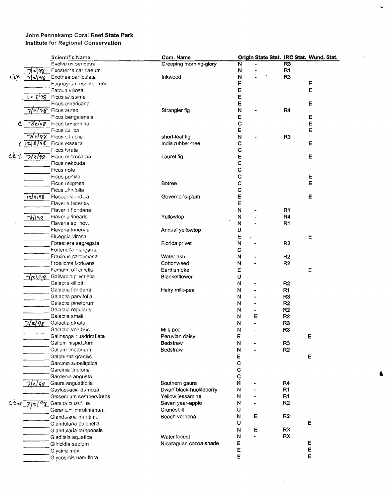|            |               | Scientific Name                                             | Com. Name               |             |   |                | Origin State Stat. IRC Stat. Wund. Stat. |
|------------|---------------|-------------------------------------------------------------|-------------------------|-------------|---|----------------|------------------------------------------|
|            |               | Evolvu us sericeus                                          | Creeping morning-glory  | N           |   | R <sub>3</sub> |                                          |
|            | 98            | Exostema caribaeum                                          |                         | N           |   | R1             |                                          |
| دنوبه      | ሓዪ            | Exothea paniculata                                          | Inkwood                 | N           |   | R <sub>3</sub> |                                          |
|            |               | Fagopyrum esculentum                                        |                         | Е           |   |                | Е                                        |
|            |               | Fatoua villosa                                              |                         | E           |   |                | Е                                        |
|            | 128198        | Ficus a tissima                                             |                         | E           |   |                |                                          |
|            |               |                                                             |                         |             |   |                |                                          |
|            |               | Ficus americana                                             |                         | E           |   |                | E                                        |
|            |               | $\sqrt{r\sqrt{r}}$ Ficus aurea                              | Strangler fig           | N           |   | R4             |                                          |
|            |               | Ficus bengalensis                                           |                         | Ε           |   |                | Е                                        |
|            |               | $C$ $7/2/98$ Ficus benjam na                                |                         | $\mathbf C$ |   |                | E                                        |
|            |               | Ficus calica                                                |                         | Е           |   |                | E                                        |
|            |               | $7\sqrt{29}$ Ficus c trifolia                               | short-leaf fig          | N           |   | R <sub>3</sub> |                                          |
|            |               | $c$ $\overline{c}/\overline{s}/\overline{s}$ Ficus elastica | India rubber-tree       | C           |   |                | Ε                                        |
|            |               | Ficus Ivrata                                                |                         | C           |   |                |                                          |
|            |               | Ce 1 7/2/98 Ficus microcarpa                                | Laurel fig              | E           |   |                | Е                                        |
|            |               | Ficus nekbuda                                               |                         | C           |   |                |                                          |
|            |               | Ficus rota                                                  |                         | $\mathbf C$ |   |                |                                          |
|            |               | Ficus pumila                                                |                         | $\mathbf c$ |   |                | E                                        |
|            |               | Ficus religiosa                                             | <b>Botree</b>           | C           |   |                | E                                        |
|            |               | Ficus Umifolia                                              |                         | C           |   |                |                                          |
|            |               | Flacourtra indical                                          | Governor's-plum         | E           |   |                |                                          |
|            | 128198        |                                                             |                         |             |   |                | Ε                                        |
|            |               | Flaveria bidentis                                           |                         | E           |   |                |                                          |
|            |               | Flaver a flor dana                                          |                         | N           |   | R <sub>1</sub> |                                          |
|            | <u>nlzlar</u> | Flaver <sub>ia</sub> linearis                               | Yellowtop               | N           |   | R4             |                                          |
|            |               | Flaveria sp nov.                                            |                         | N           |   | R <sub>1</sub> |                                          |
|            |               | Flaveria trinervia                                          | Annual yellowtop        | U           |   |                |                                          |
|            |               | Flueggia virosa                                             |                         | E           |   |                | Е                                        |
|            |               | Forest era segregata                                        | Florida privet          | N           |   | R2             |                                          |
|            |               | Fortunella margarita                                        |                         | c           |   |                |                                          |
|            |               | Fraxinus caroliniana                                        | Water ash               | N           |   | R <sub>2</sub> |                                          |
|            |               | Froelichia floridana                                        | Cottonweed              | N           |   | R <sub>2</sub> |                                          |
|            |               | Fumaric officinalis                                         | Earthsmoke              | E           |   |                | E                                        |
|            | 712198        | Gaillard <sub>3</sub> pichella                              | Blanketflower           | υ           |   |                |                                          |
|            |               | Galact a elliotti.                                          |                         | N           |   | R <sub>2</sub> |                                          |
|            |               | Galactia floridana                                          |                         |             |   | R <sub>1</sub> |                                          |
|            |               |                                                             | Hairy milk-pea          | N           |   |                |                                          |
|            |               | Galactia parvifolia                                         |                         | N           |   | R <sub>3</sub> |                                          |
|            |               | Galactia pinetorum                                          |                         | N           |   | R <sub>2</sub> |                                          |
|            |               | Galactia regularis                                          |                         | N           |   | R <sub>2</sub> |                                          |
|            |               | Galactia smalli                                             |                         | N           | Ε | R <sub>2</sub> |                                          |
|            | 'z198         | Galactia striata                                            |                         | N           |   | R <sub>3</sub> |                                          |
|            |               | Galactia volubus                                            | Milk-pea                | N           |   | R <sub>3</sub> |                                          |
|            |               | Galinsoga cuadriratiata                                     | Peruvian daisy          | E           |   |                | Ε                                        |
|            |               | Galium hispidulum                                           | Bedstraw                | N           |   | R <sub>3</sub> |                                          |
|            |               | Gallum tinctorium                                           | Bedstraw                | N           |   | R2             |                                          |
|            |               | Galphimia gracilis                                          |                         | E           |   |                | Е                                        |
|            |               | Garcinia subelliptica                                       |                         | $\mathbf C$ |   |                |                                          |
|            |               | Garcinia tinctoria                                          |                         | $\mathbf C$ |   |                |                                          |
|            |               | Gardenia angusta                                            |                         |             |   |                |                                          |
|            | $7$ 2 48      | Gaura angustifolia                                          | Southern gaura          | C<br>N      |   | R4             |                                          |
|            |               | Gaylussacia dumosa                                          | Dwarf black-huckleberry | N           |   | R <sub>1</sub> |                                          |
|            |               | Gelsemium sempervirens                                      | Yellow jessamine        | N           |   | R1             |                                          |
| $C.8 - 14$ |               | 7/2/98 Genipa dustri la                                     | Seven year-apple        | N           |   | R <sub>2</sub> |                                          |
|            |               |                                                             | Cranesbill              | U           |   |                |                                          |
|            |               | Geranium carolinianum                                       |                         |             |   |                |                                          |
|            |               | Glandularia maritima                                        | Beach verbena           | N           | Е | R <sub>2</sub> |                                          |
|            |               | Glandularia pulchella                                       |                         | U           |   |                | E                                        |
|            |               | Glandularia tampensis                                       |                         | N           | Ε | <b>RX</b>      |                                          |
|            |               | Gleditsia aquatica                                          | Water locust            | N           |   | <b>RX</b>      |                                          |
|            |               | Gliricidia sepium                                           | Nicaraguan cocoa shade  | E           |   |                | E                                        |
|            |               | Glycine max                                                 |                         | E           |   |                | E                                        |
|            |               | Glycosmis parviflora                                        |                         | E           |   |                | E                                        |
|            |               |                                                             |                         |             |   |                |                                          |

6

 $\mathcal{A}$ 

 $\mathbf{v}_\mathrm{c}$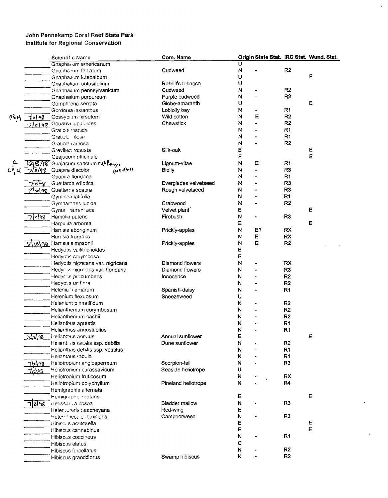|        |                 | Scientific Name                      | Com. Name             |              |    |                | Origin State Stat. IRC Stat. Wund. Stat. |
|--------|-----------------|--------------------------------------|-----------------------|--------------|----|----------------|------------------------------------------|
|        |                 | Gnapha <sub>i</sub> um americanum    |                       | Ú            |    |                |                                          |
|        |                 | Gnapha un falcatum                   | Cudweed               | N            |    | R <sub>2</sub> |                                          |
|        |                 | Gnapha.ium luteoalbum                |                       | U            |    |                | Ε                                        |
|        |                 | Gnaphalium obtusifolium              | Rabbit's tobacco      | U            |    |                |                                          |
|        |                 | Gnanha ium pennsylvanicum            | Cudweed               | N            |    | R <sub>2</sub> |                                          |
|        |                 | Graphaiium purpureum                 | Purple cudweed        | N            |    | R <sub>2</sub> |                                          |
|        |                 | Gomphrena serrata                    | Globe-amaranth        | U            |    |                | Е                                        |
|        |                 | Gordonia lasianthus                  | Loblolly bay          | N            |    | R <sub>1</sub> |                                          |
| 66H    | 가기~2            | Gossypium nirsutum                   | Wild cotton           | N            | Е  | R2             |                                          |
|        |                 | -2/z/4g Gouania lupuluides           | Chewstick             | N            |    | R <sub>2</sub> |                                          |
|        |                 | Gratiola mispida                     |                       | N            |    | R <sub>1</sub> |                                          |
|        |                 | Gratiolul ildisa                     |                       | N            |    | R <sub>1</sub> |                                          |
|        |                 | Gratiola ramosa                      |                       | Ν            |    | R2             |                                          |
|        |                 | Grevilled robusta                    | Silk-oak              | E            |    |                | Е                                        |
|        |                 | Guajacum officinale                  |                       | Ε            |    |                | E                                        |
|        |                 | 128.98 Guajacum sanctum CO Romes     | Lignum-vitae          | N            | Ε  | R1             |                                          |
| ૮ર્દ પ |                 | Rosifinie<br>7/2/98 Guapira discolor | <b>Blolly</b>         | N            |    | R <sub>3</sub> |                                          |
|        |                 | Guapira fioridana                    |                       | N            |    | R <sub>1</sub> |                                          |
|        | $7$ र्टान्छ $-$ | Guettarda e liptica                  | Everglades velvetseed | N            |    | R <sub>3</sub> |                                          |
|        |                 |                                      |                       | N            |    | R <sub>3</sub> |                                          |
|        |                 | পে olea Guettarda scabra             | Rough velvetseed      | N            |    | R <sub>1</sub> |                                          |
|        |                 | Gyminca iatifolia                    |                       |              |    |                |                                          |
|        |                 | Gymnanthes lucida                    | Crabwood              | N            |    | R <sub>2</sub> |                                          |
|        |                 | Gynur aurant aca                     | Velvet plant          | Е            |    |                | Е                                        |
|        | 798             | Hamelia patens                       | Firebush              | $\mathsf{N}$ |    | R <sub>3</sub> |                                          |
|        |                 | Harpulla arborea                     |                       | Ε            |    |                | Е                                        |
|        |                 | Harrisia aboriginum                  | Prickly-apples        | N            | E? | <b>RX</b>      |                                          |
|        |                 | Harrisia fragrans                    |                       | N            | Ε  | RX             |                                          |
|        |                 | 10 98 Harrisia simpsonii             | Prickly-apples        | N            | E  | R <sub>2</sub> |                                          |
|        |                 | Hedyotis cailitrichoides             |                       | Е            |    |                |                                          |
|        |                 | Hedyotis corymbosa                   |                       | Е            |    |                |                                          |
|        |                 | Hedyotis nigricans var. nigricans    | Diamond flowers       | N            |    | RX             |                                          |
|        |                 | Hedyrus high this var. floridana     | Diamond flowers       | N            |    | R <sub>3</sub> |                                          |
|        |                 | Hedychs procumbens                   | Innocence             | Ν            |    | R <sub>2</sub> |                                          |
|        |                 | Hedyot's un finna                    |                       | N            |    | R <sub>2</sub> |                                          |
|        |                 | Helenium amarum                      | Spanish-daisy         | N            |    | R <sub>1</sub> |                                          |
|        |                 | Helenium flexuosum                   | Sneezeweed            | U            |    |                |                                          |
|        |                 | Helenium pinnatifidum                |                       | N            |    | R <sub>2</sub> |                                          |
|        |                 | Helianthemum corymbosum              |                       | N            |    | R <sub>2</sub> |                                          |
|        |                 | Helianthemum nashii                  |                       | N            |    | R <sub>2</sub> |                                          |
|        |                 | Helianthus agrestis                  |                       | N            |    | R <sub>1</sub> |                                          |
|        |                 | Helianthus angustifolius             |                       | N            |    | R1             |                                          |
|        | <u> र ह व्ह</u> | Helianthus annuus                    | Annual sunflower      | F            |    |                | Ε                                        |
|        |                 | Heliant us depliis ssp. debilis      | Dune sunflower        | N            |    | R2             |                                          |
|        |                 | Helianthus debilis ssp. vestitus     |                       | N            |    | R1             |                                          |
|        |                 | Helianthus radula                    |                       | N            |    | R <sub>1</sub> |                                          |
|        | <u> z 98</u>    | Heliotropium angiospermum            | Scorpion-tail         | N            |    | R <sub>3</sub> |                                          |
|        | 708             | Heliotropium curassavicum            | Seaside heliotrope    | U            |    |                |                                          |
|        |                 | Heliotropium fruticosum              |                       | N            |    | <b>RX</b>      |                                          |
|        |                 | Heliotropium polyphyllum             | Pineland heliotrope   | N            |    | R4             |                                          |
|        |                 | Hemigraphis alternata                |                       |              |    |                |                                          |
|        |                 | Hemigraphic reptans                  |                       | Е            |    |                | Е                                        |
|        |                 | Herissan, a crispa                   | <b>Bladder mallow</b> | ${\sf N}$    |    | R <sub>3</sub> |                                          |
|        |                 | Heter whis beechevana                | Red-wing              | E            |    |                |                                          |
|        |                 | Heternt tecal subaxillaris           | Camphorweed           | N            |    | R <sub>3</sub> |                                          |
|        |                 | Hibiscus acetosella                  |                       | E            |    |                | Е                                        |
|        |                 |                                      |                       | E            |    |                | E                                        |
|        |                 | Hibiscus cannabinus                  |                       | $\mathsf{N}$ |    | R <sub>1</sub> |                                          |
|        |                 | Hibiscus coccineus                   |                       | $\mathbf C$  |    |                |                                          |
|        |                 | Hibiscus elatus                      |                       |              |    |                |                                          |
|        |                 | Hibiscus furcellatus                 |                       | N            |    | R <sub>2</sub> |                                          |
|        |                 | Hibiscus grand:florus                | Swamp hibiscus        | N            |    | R <sub>2</sub> |                                          |

 $\hat{\mathcal{A}}$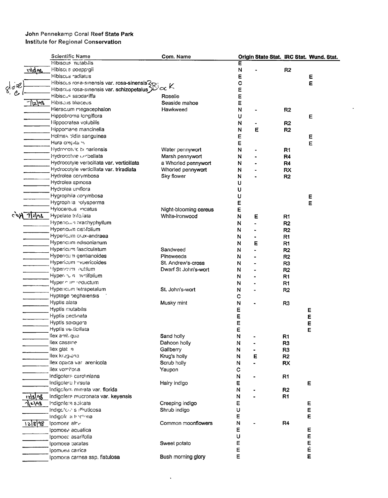|                 | <b>Scientific Name</b>                     | Com. Name             |                                    |   |                | Origin State Stat. IRC Stat. Wund. Stat. |
|-----------------|--------------------------------------------|-----------------------|------------------------------------|---|----------------|------------------------------------------|
|                 | Hibiscus nutabilis                         |                       | Е                                  |   |                |                                          |
| <u> 12 dae </u> | Hibiscus poepp gii                         |                       | N                                  |   | R <sub>2</sub> |                                          |
|                 | Hibiscus radiatus                          |                       | Е                                  |   |                | Е                                        |
|                 | Hibiscus rosa-sinensis var. rosa-sinensis3 |                       | C                                  |   |                | E                                        |
| 802             | Hibiscus rosa-sinensis var. schizopetalus  | $\sim$ K              | E                                  |   |                |                                          |
| C               | Hibiscus sabdariffa                        | Roselie               | Ε                                  |   |                |                                          |
| 7\z\98          | Hibiscus tiliaceus                         | Seaside mahoe         | Ε                                  |   |                |                                          |
|                 | Hierac.um megacephalon                     | Hawkweed              | $\mathsf{N}$                       |   | R2             |                                          |
|                 | Hippobroma longiflora                      |                       | U                                  |   |                | Е                                        |
|                 | Hippocratea volubilis                      |                       | N                                  |   | R <sub>2</sub> |                                          |
|                 | Hippomane mancinella                       |                       | N                                  | E | R <sub>2</sub> |                                          |
|                 | Holmsk pldia sanguinea                     |                       |                                    |   |                |                                          |
|                 |                                            |                       | Е                                  |   |                | Ε                                        |
|                 | Hura crepital's                            |                       | E                                  |   |                | E                                        |
|                 | Hydrocotvic benariensis                    | Water pennywort       | N                                  |   | R1             |                                          |
|                 | Hydrocotvie umbellata                      | Marsh pennywort       | N                                  |   | R4             |                                          |
|                 | Hydrocotyle verticillata var. verticillata | a Whorled pennywort   | N                                  |   | R <sub>4</sub> |                                          |
|                 | Hydrocotyle verticillata var. triradiata   | Whorled pennywort     | N                                  |   | <b>RX</b>      |                                          |
|                 | Hydrolea corymbosa                         | Sky flower            | N                                  |   | R2             |                                          |
|                 | Hydrolea spinosa                           |                       | U                                  |   |                |                                          |
|                 | Hydrolea uniflora                          |                       | U                                  |   |                |                                          |
|                 | Hygrophila corymbosa                       |                       | U                                  |   |                | Е                                        |
|                 | Hygroph la volysperma                      |                       | Ε                                  |   |                | Е                                        |
|                 | Hylocereus indatus                         | Night-blooming cereus | E                                  |   |                |                                          |
| $c$ of $7$ $25$ | Hypelate trifo.iata                        | White-ironwood        | N                                  | Е | R <sub>1</sub> |                                          |
|                 | Hypericum brachyphyllum                    |                       | N                                  |   | R <sub>2</sub> |                                          |
|                 | Hypericum cistifolium                      |                       | N                                  |   | R2             |                                          |
|                 | Hypericum crux-andraea                     |                       | N<br>۰                             |   | R1             |                                          |
|                 | Hypericum edisonianum                      |                       | N                                  | Е | R1             |                                          |
|                 | Hypericum fasciculatum                     | Sandweed              | N                                  |   | R <sub>2</sub> |                                          |
|                 | Hypericum gentianoides                     | Pineweeds             | N                                  |   | R <sub>2</sub> |                                          |
|                 | Hypericum <i>"vpericoides</i>              | St. Andrew's-cross    | N                                  |   | R <sub>3</sub> |                                          |
|                 | Hypericrim autilum                         | Dwarf St John's-wort  | N                                  |   | R <sub>2</sub> |                                          |
|                 | Hyper un ivrtifolium                       |                       | N                                  |   | R1             |                                          |
|                 | Hyper num reductum                         |                       | N                                  |   | R <sub>1</sub> |                                          |
|                 | Hypericum tetrapetalum                     | St. John's-wort       | N                                  |   | R <sub>2</sub> |                                          |
|                 | Hyptage beghalensis                        |                       | с                                  |   |                |                                          |
|                 | Hyptis alata                               | Musky mint            | N                                  |   | R <sub>3</sub> |                                          |
|                 | Hyptis mutabilis                           |                       | E                                  |   |                | E                                        |
|                 | Hyptis pectinata                           |                       | E                                  |   |                | E                                        |
|                 | Hyptis spicigera                           |                       | E                                  |   |                | E                                        |
|                 | Hyptis verticillata                        |                       | E                                  |   |                | E                                        |
|                 | llex amt, gua                              | Sand holly            | N                                  |   | R <sub>1</sub> |                                          |
|                 | llex cassine                               | Dahoon holly          |                                    |   |                |                                          |
|                 | llex glat a                                | Gallberry             | N<br>$\overline{\phantom{a}}$<br>N |   | R <sub>3</sub> |                                          |
|                 | llex krug <sub>r</sub> ana                 | Krug's holly          | N<br>Е                             |   | R <sub>3</sub> |                                          |
|                 | llex opaca var arenicola                   | Scrub holly           |                                    |   | R <sub>2</sub> |                                          |
|                 | llex vomitor a                             |                       | N                                  |   | <b>RX</b>      |                                          |
|                 |                                            | Yaupon                | С                                  |   |                |                                          |
|                 | Indigotera caroliniana                     |                       | N                                  |   | R1             |                                          |
|                 | Indigotera hirsuta                         | Hairy indigo          | Ε                                  |   |                | Е                                        |
|                 | Indigofers miniata var. florida            |                       | N                                  |   | R <sub>2</sub> |                                          |
| <u> ાર\</u> ાજી | Indigofera mucronata var. keyensis         |                       | N                                  |   | R1             |                                          |
| <b>ๅ\</b> z\hq  | Indigofe a spicata                         | Creeping indigo       | E                                  |   |                | Е                                        |
|                 | Indigoforals iffruticosal                  | Shrub indigo          | U                                  |   |                | E                                        |
|                 | Indigofe a thretonia                       |                       | E                                  |   |                | Е                                        |
|                 | $12898$ Ipomoes albe                       | Common moonflowers    | N                                  |   | R4             |                                          |
|                 | Ipomoea aquatica                           |                       | E                                  |   |                | E                                        |
|                 | Ipomoec asarifolia                         |                       | U                                  |   |                | E                                        |
|                 | Ipomoea patatas                            | Sweet potato          | E                                  |   |                | E<br>E                                   |
|                 | Ipomoea carrica                            |                       | Ε                                  |   |                |                                          |
|                 | Ipomoea carnea ssp. fistulosa              | Bush morning glory    | E                                  |   |                | E                                        |

 $\ddot{\phantom{0}}$